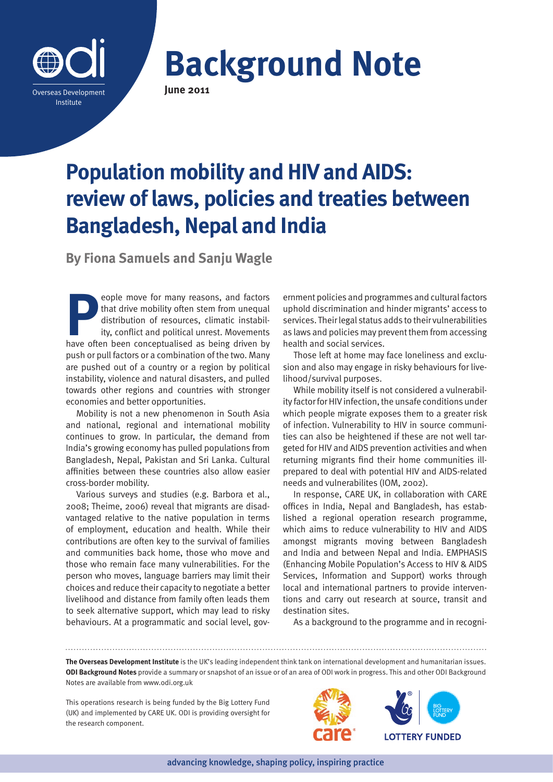

**Background Note** 

# **Population mobility and HIV and AIDS: review of laws, policies and treaties between Bangladesh, Nepal and India**

**By Fiona Samuels and Sanju Wagle**

**People move for many reasons, and factors**<br>that drive mobility often stem from unequal<br>distribution of resources, climatic instability, conflict and political unrest. Movements<br>have often been conceptualised as being driv that drive mobility often stem from unequal distribution of resources, climatic instability, conflict and political unrest. Movements have often been conceptualised as being driven by push or pull factors or a combination of the two. Many are pushed out of a country or a region by political instability, violence and natural disasters, and pulled towards other regions and countries with stronger economies and better opportunities.

Mobility is not a new phenomenon in South Asia and national, regional and international mobility continues to grow. In particular, the demand from India's growing economy has pulled populations from Bangladesh, Nepal, Pakistan and Sri Lanka. Cultural affinities between these countries also allow easier cross-border mobility.

Various surveys and studies (e.g. Barbora et al., 2008; Theime, 2006) reveal that migrants are disadvantaged relative to the native population in terms of employment, education and health. While their contributions are often key to the survival of families and communities back home, those who move and those who remain face many vulnerabilities. For the person who moves, language barriers may limit their choices and reduce their capacity to negotiate a better livelihood and distance from family often leads them to seek alternative support, which may lead to risky behaviours. At a programmatic and social level, government policies and programmes and cultural factors uphold discrimination and hinder migrants' access to services. Their legal status adds to their vulnerabilities as laws and policies may prevent them from accessing health and social services.

Those left at home may face loneliness and exclusion and also may engage in risky behaviours for livelihood/survival purposes.

While mobility itself is not considered a vulnerability factor for HIV infection, the unsafe conditions under which people migrate exposes them to a greater risk of infection. Vulnerability to HIV in source communities can also be heightened if these are not well targeted for HIV and AIDS prevention activities and when returning migrants find their home communities illprepared to deal with potential HIV and AIDS-related needs and vulnerabilites (IOM, 2002).

In response, CARE UK, in collaboration with CARE offices in India, Nepal and Bangladesh, has established a regional operation research programme, which aims to reduce vulnerability to HIV and AIDS amongst migrants moving between Bangladesh and India and between Nepal and India. EMPHASIS (Enhancing Mobile Population's Access to HIV & AIDS Services, Information and Support) works through local and international partners to provide interventions and carry out research at source, transit and destination sites.

As a background to the programme and in recogni-

**The Overseas Development Institute** is the UK's leading independent think tank on international development and humanitarian issues. **ODI Background Notes** provide a summary or snapshot of an issue or of an area of ODI work in progress. This and other ODI Background Notes are available from www.odi.org.uk

This operations research is being funded by the Big Lottery Fund (UK) and implemented by CARE UK. ODI is providing oversight for the research component.



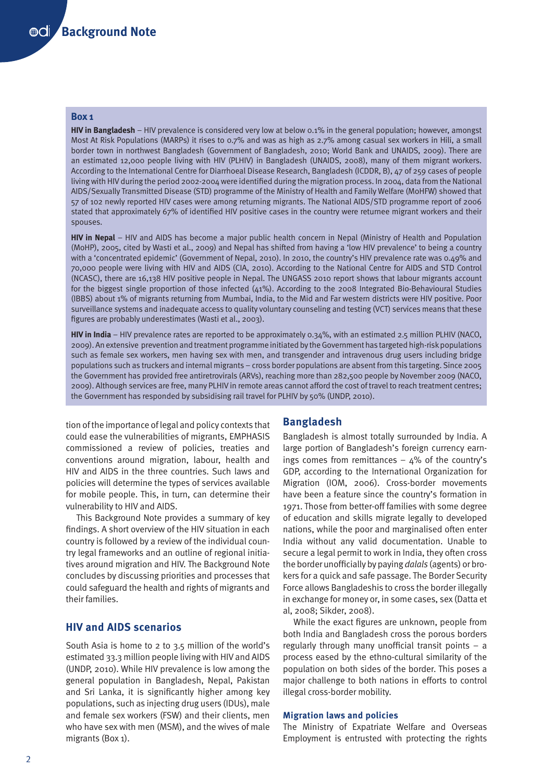## **Box 1**

**HIV in Bangladesh** – HIV prevalence is considered very low at below 0.1% in the general population; however, amongst Most At Risk Populations (MARPs) it rises to 0.7% and was as high as 2.7% among casual sex workers in Hili, a small border town in northwest Bangladesh (Government of Bangladesh, 2010; World Bank and UNAIDS, 2009). There are an estimated 12,000 people living with HIV (PLHIV) in Bangladesh (UNAIDS, 2008), many of them migrant workers. According to the International Centre for Diarrhoeal Disease Research, Bangladesh (ICDDR, B), 47 of 259 cases of people living with HIV during the period 2002-2004 were identified during the migration process. In 2004, data from the National AIDS/Sexually Transmitted Disease (STD) programme of the Ministry of Health and Family Welfare (MoHFW) showed that 57 of 102 newly reported HIV cases were among returning migrants. The National AIDS/STD programme report of 2006 stated that approximately 67% of identified HIV positive cases in the country were returnee migrant workers and their spouses.

**HIV in Nepal** – HIV and AIDS has become a major public health concern in Nepal (Ministry of Health and Population (MoHP), 2005, cited by Wasti et al., 2009) and Nepal has shifted from having a 'low HIV prevalence' to being a country with a 'concentrated epidemic' (Government of Nepal, 2010). In 2010, the country's HIV prevalence rate was 0.49% and 70,000 people were living with HIV and AIDS (CIA, 2010). According to the National Centre for AIDS and STD Control (NCASC), there are 16,138 HIV positive people in Nepal. The UNGASS 2010 report shows that labour migrants account for the biggest single proportion of those infected (41%). According to the 2008 Integrated Bio-Behavioural Studies (IBBS) about 1% of migrants returning from Mumbai, India, to the Mid and Far western districts were HIV positive. Poor surveillance systems and inadequate access to quality voluntary counseling and testing (VCT) services means that these figures are probably underestimates (Wasti et al., 2003).

**HIV in India** – HIV prevalence rates are reported to be approximately 0.34%, with an estimated 2.5 million PLHIV (NACO, 2009). An extensive prevention and treatment programme initiated by the Government has targeted high-risk populations such as female sex workers, men having sex with men, and transgender and intravenous drug users including bridge populations such as truckers and internal migrants – cross border populations are absent from this targeting. Since 2005 the Government has provided free antiretrovirals (ARVs), reaching more than 282,500 people by November 2009 (NACO, 2009). Although services are free, many PLHIV in remote areas cannot afford the cost of travel to reach treatment centres; the Government has responded by subsidising rail travel for PLHIV by 50% (UNDP, 2010).

tion of the importance of legal and policy contexts that could ease the vulnerabilities of migrants, EMPHASIS commissioned a review of policies, treaties and conventions around migration, labour, health and HIV and AIDS in the three countries. Such laws and policies will determine the types of services available for mobile people. This, in turn, can determine their vulnerability to HIV and AIDS.

This Background Note provides a summary of key findings. A short overview of the HIV situation in each country is followed by a review of the individual country legal frameworks and an outline of regional initiatives around migration and HIV. The Background Note concludes by discussing priorities and processes that could safeguard the health and rights of migrants and their families.

## **HIV and AIDS scenarios**

South Asia is home to 2 to 3.5 million of the world's estimated 33.3 million people living with HIV and AIDS (UNDP, 2010). While HIV prevalence is low among the general population in Bangladesh, Nepal, Pakistan and Sri Lanka, it is significantly higher among key populations, such as injecting drug users (IDUs), male and female sex workers (FSW) and their clients, men who have sex with men (MSM), and the wives of male migrants (Box 1).

## **Bangladesh**

Bangladesh is almost totally surrounded by India. A large portion of Bangladesh's foreign currency earnings comes from remittances  $-$  4% of the country's GDP, according to the International Organization for Migration (IOM, 2006). Cross-border movements have been a feature since the country's formation in 1971. Those from better-off families with some degree of education and skills migrate legally to developed nations, while the poor and marginalised often enter India without any valid documentation. Unable to secure a legal permit to work in India, they often cross the border unofficially by paying *dalals* (agents) or brokers for a quick and safe passage. The Border Security Force allows Bangladeshis to cross the border illegally in exchange for money or, in some cases, sex (Datta et al, 2008; Sikder, 2008).

While the exact figures are unknown, people from both India and Bangladesh cross the porous borders regularly through many unofficial transit points – a process eased by the ethno-cultural similarity of the population on both sides of the border. This poses a major challenge to both nations in efforts to control illegal cross-border mobility.

## **Migration laws and policies**

The Ministry of Expatriate Welfare and Overseas Employment is entrusted with protecting the rights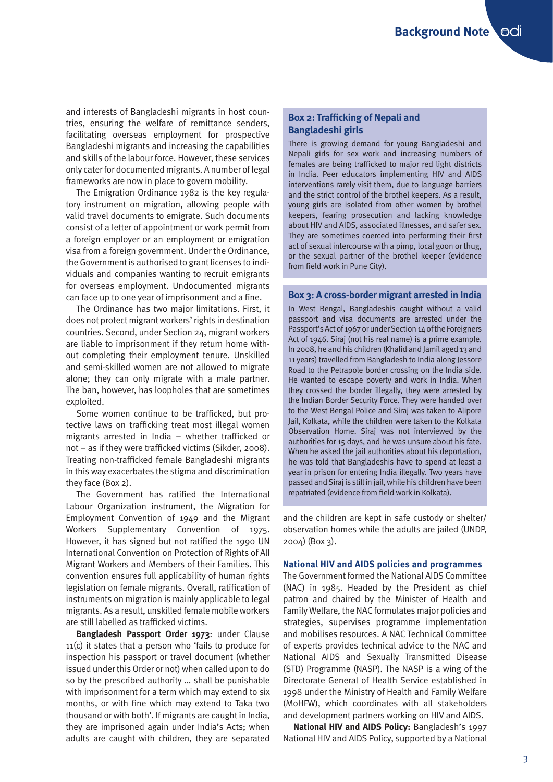and interests of Bangladeshi migrants in host countries, ensuring the welfare of remittance senders, facilitating overseas employment for prospective Bangladeshi migrants and increasing the capabilities and skills of the labour force. However, these services only cater for documented migrants. A number of legal frameworks are now in place to govern mobility.

The Emigration Ordinance 1982 is the key regulatory instrument on migration, allowing people with valid travel documents to emigrate. Such documents consist of a letter of appointment or work permit from a foreign employer or an employment or emigration visa from a foreign government. Under the Ordinance, the Government is authorised to grant licenses to individuals and companies wanting to recruit emigrants for overseas employment. Undocumented migrants can face up to one year of imprisonment and a fine.

The Ordinance has two major limitations. First, it does not protect migrant workers' rights in destination countries. Second, under Section 24, migrant workers are liable to imprisonment if they return home without completing their employment tenure. Unskilled and semi-skilled women are not allowed to migrate alone; they can only migrate with a male partner. The ban, however, has loopholes that are sometimes exploited.

Some women continue to be trafficked, but protective laws on trafficking treat most illegal women migrants arrested in India – whether trafficked or not – as if they were trafficked victims (Sikder, 2008). Treating non-trafficked female Bangladeshi migrants in this way exacerbates the stigma and discrimination they face (Box 2).

The Government has ratified the International Labour Organization instrument, the Migration for Employment Convention of 1949 and the Migrant Workers Supplementary Convention of 1975. However, it has signed but not ratified the 1990 UN International Convention on Protection of Rights of All Migrant Workers and Members of their Families. This convention ensures full applicability of human rights legislation on female migrants. Overall, ratification of instruments on migration is mainly applicable to legal migrants. As a result, unskilled female mobile workers are still labelled as trafficked victims.

**Bangladesh Passport Order 1973**: under Clause 11(c) it states that a person who 'fails to produce for inspection his passport or travel document (whether issued under this Order or not) when called upon to do so by the prescribed authority … shall be punishable with imprisonment for a term which may extend to six months, or with fine which may extend to Taka two thousand or with both'. If migrants are caught in India, they are imprisoned again under India's Acts; when adults are caught with children, they are separated

## **Box 2: Trafficking of Nepali and Bangladeshi girls**

There is growing demand for young Bangladeshi and Nepali girls for sex work and increasing numbers of females are being trafficked to major red light districts in India. Peer educators implementing HIV and AIDS interventions rarely visit them, due to language barriers and the strict control of the brothel keepers. As a result, young girls are isolated from other women by brothel keepers, fearing prosecution and lacking knowledge about HIV and AIDS, associated illnesses, and safer sex. They are sometimes coerced into performing their first act of sexual intercourse with a pimp, local goon or thug, or the sexual partner of the brothel keeper (evidence from field work in Pune City).

## **Box 3: A cross-border migrant arrested in India**

In West Bengal, Bangladeshis caught without a valid passport and visa documents are arrested under the Passport's Act of 1967 or under Section 14 of the Foreigners Act of 1946. Siraj (not his real name) is a prime example. In 2008, he and his children (Khalid and Jamil aged 13 and 11 years) travelled from Bangladesh to India along Jessore Road to the Petrapole border crossing on the India side. He wanted to escape poverty and work in India. When they crossed the border illegally, they were arrested by the Indian Border Security Force. They were handed over to the West Bengal Police and Siraj was taken to Alipore Jail, Kolkata, while the children were taken to the Kolkata Observation Home. Siraj was not interviewed by the authorities for 15 days, and he was unsure about his fate. When he asked the jail authorities about his deportation, he was told that Bangladeshis have to spend at least a year in prison for entering India illegally. Two years have passed and Siraj is still in jail, while his children have been repatriated (evidence from field work in Kolkata).

and the children are kept in safe custody or shelter/ observation homes while the adults are jailed (UNDP, 2004) (Box 3).

#### **National HIV and AIDS policies and programmes**

The Government formed the National AIDS Committee (NAC) in 1985. Headed by the President as chief patron and chaired by the Minister of Health and Family Welfare, the NAC formulates major policies and strategies, supervises programme implementation and mobilises resources. A NAC Technical Committee of experts provides technical advice to the NAC and National AIDS and Sexually Transmitted Disease (STD) Programme (NASP). The NASP is a wing of the Directorate General of Health Service established in 1998 under the Ministry of Health and Family Welfare (MoHFW), which coordinates with all stakeholders and development partners working on HIV and AIDS.

**National HIV and AIDS Policy:** Bangladesh's 1997 National HIV and AIDS Policy, supported by a National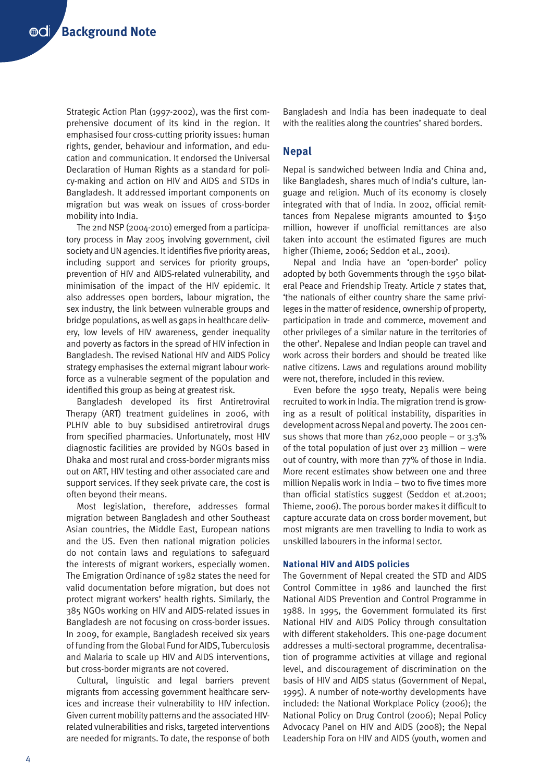Strategic Action Plan (1997-2002), was the first comprehensive document of its kind in the region. It emphasised four cross-cutting priority issues: human rights, gender, behaviour and information, and education and communication. It endorsed the Universal Declaration of Human Rights as a standard for policy-making and action on HIV and AIDS and STDs in Bangladesh. It addressed important components on migration but was weak on issues of cross-border mobility into India.

The 2nd NSP (2004-2010) emerged from a participatory process in May 2005 involving government, civil society and UN agencies. It identifies five priority areas, including support and services for priority groups, prevention of HIV and AIDS-related vulnerability, and minimisation of the impact of the HIV epidemic. It also addresses open borders, labour migration, the sex industry, the link between vulnerable groups and bridge populations, as well as gaps in healthcare delivery, low levels of HIV awareness, gender inequality and poverty as factors in the spread of HIV infection in Bangladesh. The revised National HIV and AIDS Policy strategy emphasises the external migrant labour workforce as a vulnerable segment of the population and identified this group as being at greatest risk.

Bangladesh developed its first Antiretroviral Therapy (ART) treatment guidelines in 2006, with PLHIV able to buy subsidised antiretroviral drugs from specified pharmacies. Unfortunately, most HIV diagnostic facilities are provided by NGOs based in Dhaka and most rural and cross-border migrants miss out on ART, HIV testing and other associated care and support services. If they seek private care, the cost is often beyond their means.

Most legislation, therefore, addresses formal migration between Bangladesh and other Southeast Asian countries, the Middle East, European nations and the US. Even then national migration policies do not contain laws and regulations to safeguard the interests of migrant workers, especially women. The Emigration Ordinance of 1982 states the need for valid documentation before migration, but does not protect migrant workers' health rights. Similarly, the 385 NGOs working on HIV and AIDS-related issues in Bangladesh are not focusing on cross-border issues. In 2009, for example, Bangladesh received six years of funding from the Global Fund for AIDS, Tuberculosis and Malaria to scale up HIV and AIDS interventions, but cross-border migrants are not covered.

Cultural, linguistic and legal barriers prevent migrants from accessing government healthcare services and increase their vulnerability to HIV infection. Given current mobility patterns and the associated HIVrelated vulnerabilities and risks, targeted interventions are needed for migrants. To date, the response of both

Bangladesh and India has been inadequate to deal with the realities along the countries' shared borders.

## **Nepal**

Nepal is sandwiched between India and China and, like Bangladesh, shares much of India's culture, language and religion. Much of its economy is closely integrated with that of India. In 2002, official remittances from Nepalese migrants amounted to \$150 million, however if unofficial remittances are also taken into account the estimated figures are much higher (Thieme, 2006; Seddon et al., 2001).

Nepal and India have an 'open-border' policy adopted by both Governments through the 1950 bilateral Peace and Friendship Treaty. Article 7 states that, 'the nationals of either country share the same privileges in the matter of residence, ownership of property, participation in trade and commerce, movement and other privileges of a similar nature in the territories of the other'. Nepalese and Indian people can travel and work across their borders and should be treated like native citizens. Laws and regulations around mobility were not, therefore, included in this review.

Even before the 1950 treaty, Nepalis were being recruited to work in India. The migration trend is growing as a result of political instability, disparities in development across Nepal and poverty. The 2001 census shows that more than  $762,000$  people – or  $3.3\%$ of the total population of just over 23 million – were out of country, with more than 77% of those in India. More recent estimates show between one and three million Nepalis work in India – two to five times more than official statistics suggest (Seddon et at.2001; Thieme, 2006). The porous border makes it difficult to capture accurate data on cross border movement, but most migrants are men travelling to India to work as unskilled labourers in the informal sector.

#### **National HIV and AIDS policies**

The Government of Nepal created the STD and AIDS Control Committee in 1986 and launched the first National AIDS Prevention and Control Programme in 1988. In 1995, the Government formulated its first National HIV and AIDS Policy through consultation with different stakeholders. This one-page document addresses a multi-sectoral programme, decentralisation of programme activities at village and regional level, and discouragement of discrimination on the basis of HIV and AIDS status (Government of Nepal, 1995). A number of note-worthy developments have included: the National Workplace Policy (2006); the National Policy on Drug Control (2006); Nepal Policy Advocacy Panel on HIV and AIDS (2008); the Nepal Leadership Fora on HIV and AIDS (youth, women and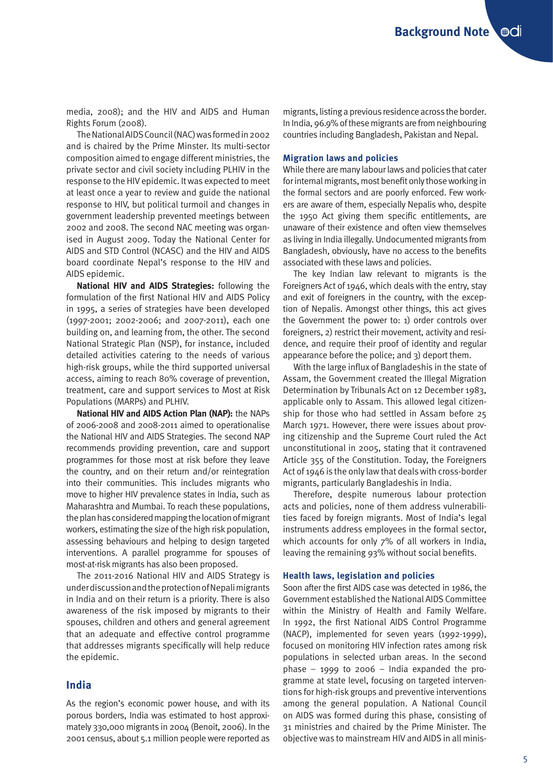media, 2008); and the HIV and AIDS and Human Rights Forum (2008).

The National AIDS Council (NAC) was formed in 2002 and is chaired by the Prime Minster. Its multi-sector composition aimed to engage different ministries, the private sector and civil society including PLHIV in the response to the HIV epidemic. It was expected to meet at least once a year to review and guide the national response to HIV, but political turmoil and changes in government leadership prevented meetings between 2002 and 2008. The second NAC meeting was organised in August 2009. Today the National Center for AIDS and STD Control (NCASC) and the HIV and AIDS board coordinate Nepal's response to the HIV and AIDS epidemic.

**National HIV and AIDS Strategies:** following the formulation of the first National HIV and AIDS Policy in 1995, a series of strategies have been developed (1997-2001; 2002-2006; and 2007-2011), each one building on, and learning from, the other. The second National Strategic Plan (NSP), for instance, included detailed activities catering to the needs of various high-risk groups, while the third supported universal access, aiming to reach 80% coverage of prevention, treatment, care and support services to Most at Risk Populations (MARPs) and PLHIV.

**National HIV and AIDS Action Plan (NAP):** the NAPs of 2006-2008 and 2008-2011 aimed to operationalise the National HIV and AIDS Strategies. The second NAP recommends providing prevention, care and support programmes for those most at risk before they leave the country, and on their return and/or reintegration into their communities. This includes migrants who move to higher HIV prevalence states in India, such as Maharashtra and Mumbai. To reach these populations, the plan has considered mapping the location of migrant workers, estimating the size of the high risk population, assessing behaviours and helping to design targeted interventions. A parallel programme for spouses of most-at-risk migrants has also been proposed.

The 2011-2016 National HIV and AIDS Strategy is under discussion and the protection of Nepali migrants in India and on their return is a priority. There is also awareness of the risk imposed by migrants to their spouses, children and others and general agreement that an adequate and effective control programme that addresses migrants specifically will help reduce the epidemic.

## **India**

As the region's economic power house, and with its porous borders, India was estimated to host approximately 330,000 migrants in 2004 (Benoit, 2006). In the 2001 census, about 5.1 million people were reported as

migrants, listing a previous residence across the border. In India, 96.9% of these migrants are from neighbouring countries including Bangladesh, Pakistan and Nepal.

#### **Migration laws and policies**

While there are many labour laws and policies that cater for internal migrants, most benefit only those working in the formal sectors and are poorly enforced. Few workers are aware of them, especially Nepalis who, despite the 1950 Act giving them specific entitlements, are unaware of their existence and often view themselves as living in India illegally. Undocumented migrants from Bangladesh, obviously, have no access to the benefits associated with these laws and policies.

The key Indian law relevant to migrants is the Foreigners Act of 1946, which deals with the entry, stay and exit of foreigners in the country, with the exception of Nepalis. Amongst other things, this act gives the Government the power to: 1) order controls over foreigners, 2) restrict their movement, activity and residence, and require their proof of identity and regular appearance before the police; and 3) deport them.

With the large influx of Bangladeshis in the state of Assam, the Government created the Illegal Migration Determination by Tribunals Act on 12 December 1983, applicable only to Assam. This allowed legal citizenship for those who had settled in Assam before 25 March 1971. However, there were issues about proving citizenship and the Supreme Court ruled the Act unconstitutional in 2005, stating that it contravened Article 355 of the Constitution. Today, the Foreigners Act of 1946 is the only law that deals with cross-border migrants, particularly Bangladeshis in India.

Therefore, despite numerous labour protection acts and policies, none of them address vulnerabilities faced by foreign migrants. Most of India's legal instruments address employees in the formal sector, which accounts for only 7% of all workers in India, leaving the remaining 93% without social benefits.

#### **Health laws, legislation and policies**

Soon after the first AIDS case was detected in 1986, the Government established the National AIDS Committee within the Ministry of Health and Family Welfare. In 1992, the first National AIDS Control Programme (NACP), implemented for seven years (1992-1999), focused on monitoring HIV infection rates among risk populations in selected urban areas. In the second phase  $-$  1999 to 2006  $-$  India expanded the programme at state level, focusing on targeted interventions for high-risk groups and preventive interventions among the general population. A National Council on AIDS was formed during this phase, consisting of 31 ministries and chaired by the Prime Minister. The objective was to mainstream HIV and AIDS in all minis-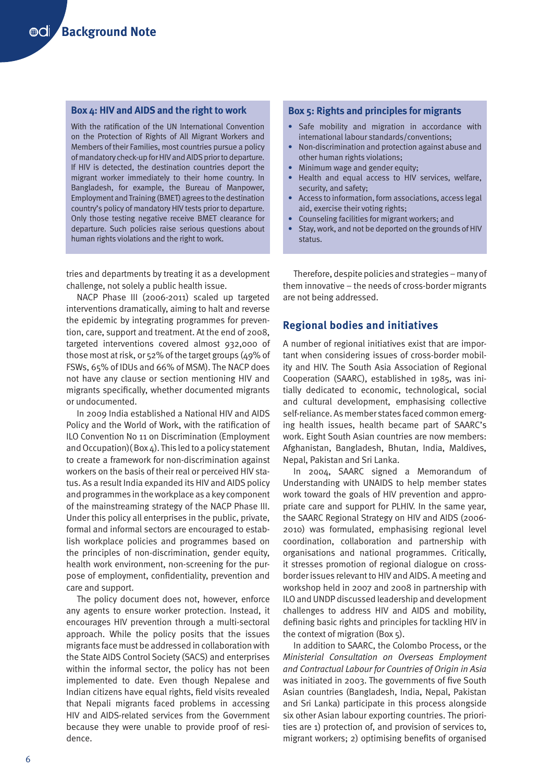#### **Box 4: HIV and AIDS and the right to work**

With the ratification of the UN International Convention on the Protection of Rights of All Migrant Workers and Members of their Families, most countries pursue a policy of mandatory check-up for HIV and AIDS prior to departure. If HIV is detected, the destination countries deport the migrant worker immediately to their home country. In Bangladesh, for example, the Bureau of Manpower, Employment and Training (BMET) agrees to the destination country's policy of mandatory HIV tests prior to departure. Only those testing negative receive BMET clearance for departure. Such policies raise serious questions about human rights violations and the right to work.

tries and departments by treating it as a development challenge, not solely a public health issue.

NACP Phase III (2006-2011) scaled up targeted interventions dramatically, aiming to halt and reverse the epidemic by integrating programmes for prevention, care, support and treatment. At the end of 2008, targeted interventions covered almost 932,000 of those most at risk, or 52% of the target groups (49% of FSWs, 65% of IDUs and 66% of MSM). The NACP does not have any clause or section mentioning HIV and migrants specifically, whether documented migrants or undocumented.

In 2009 India established a National HIV and AIDS Policy and the World of Work, with the ratification of ILO Convention No 11 on Discrimination (Employment and Occupation)( $Box_4$ ). This led to a policy statement to create a framework for non-discrimination against workers on the basis of their real or perceived HIV status. As a result India expanded its HIV and AIDS policy and programmes in the workplace as a key component of the mainstreaming strategy of the NACP Phase III. Under this policy all enterprises in the public, private, formal and informal sectors are encouraged to establish workplace policies and programmes based on the principles of non-discrimination, gender equity, health work environment, non-screening for the purpose of employment, confidentiality, prevention and care and support.

The policy document does not, however, enforce any agents to ensure worker protection. Instead, it encourages HIV prevention through a multi-sectoral approach. While the policy posits that the issues migrants face must be addressed in collaboration with the State AIDS Control Society (SACS) and enterprises within the informal sector, the policy has not been implemented to date. Even though Nepalese and Indian citizens have equal rights, field visits revealed that Nepali migrants faced problems in accessing HIV and AIDS-related services from the Government because they were unable to provide proof of residence.

## **Box 5: Rights and principles for migrants**

- **•** Safe mobility and migration in accordance with international labour standards/conventions;
- **•** Non-discrimination and protection against abuse and other human rights violations;
- **•** Minimum wage and gender equity;
- **•** Health and equal access to HIV services, welfare, security, and safety;
- **•** Access to information, form associations, access legal aid, exercise their voting rights;
- **•** Counseling facilities for migrant workers; and
- **•** Stay, work, and not be deported on the grounds of HIV status.

Therefore, despite policies and strategies – many of them innovative – the needs of cross-border migrants are not being addressed.

## **Regional bodies and initiatives**

A number of regional initiatives exist that are important when considering issues of cross-border mobility and HIV. The South Asia Association of Regional Cooperation (SAARC), established in 1985, was initially dedicated to economic, technological, social and cultural development, emphasising collective self-reliance. As member states faced common emerging health issues, health became part of SAARC's work. Eight South Asian countries are now members: Afghanistan, Bangladesh, Bhutan, India, Maldives, Nepal, Pakistan and Sri Lanka.

In 2004, SAARC signed a Memorandum of Understanding with UNAIDS to help member states work toward the goals of HIV prevention and appropriate care and support for PLHIV. In the same year, the SAARC Regional Strategy on HIV and AIDS (2006- 2010) was formulated, emphasising regional level coordination, collaboration and partnership with organisations and national programmes. Critically, it stresses promotion of regional dialogue on crossborder issues relevant to HIV and AIDS. A meeting and workshop held in 2007 and 2008 in partnership with ILO and UNDP discussed leadership and development challenges to address HIV and AIDS and mobility, defining basic rights and principles for tackling HIV in the context of migration (Box 5).

In addition to SAARC, the Colombo Process, or the *Ministerial Consultation on Overseas Employment and Contractual Labour for Countries of Origin in Asia* was initiated in 2003. The governments of five South Asian countries (Bangladesh, India, Nepal, Pakistan and Sri Lanka) participate in this process alongside six other Asian labour exporting countries. The priorities are 1) protection of, and provision of services to, migrant workers; 2) optimising benefits of organised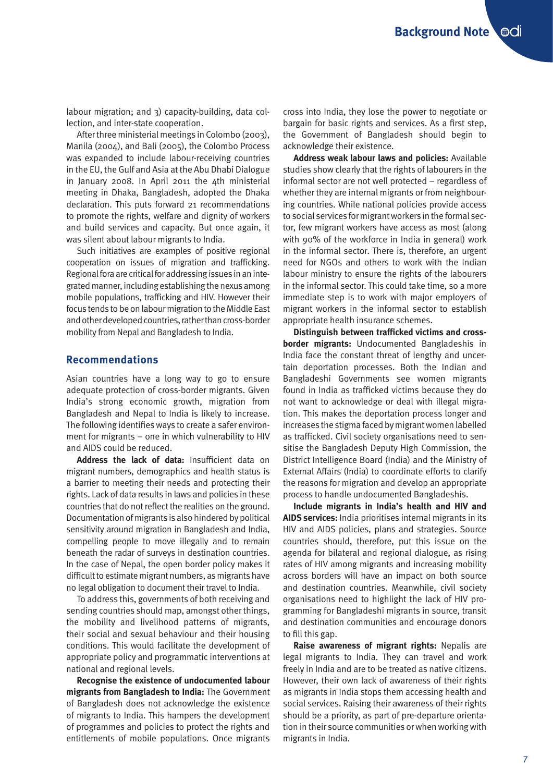labour migration; and 3) capacity-building, data collection, and inter-state cooperation.

After three ministerial meetings in Colombo (2003), Manila (2004), and Bali (2005), the Colombo Process was expanded to include labour-receiving countries in the EU, the Gulf and Asia at the Abu Dhabi Dialogue in January 2008. In April 2011 the 4th ministerial meeting in Dhaka, Bangladesh, adopted the Dhaka declaration. This puts forward 21 recommendations to promote the rights, welfare and dignity of workers and build services and capacity. But once again, it was silent about labour migrants to India.

Such initiatives are examples of positive regional cooperation on issues of migration and trafficking. Regional fora are critical for addressing issues in an integrated manner, including establishing the nexus among mobile populations, trafficking and HIV. However their focus tends to be on labour migration to the Middle East and other developed countries, rather than cross-border mobility from Nepal and Bangladesh to India.

## **Recommendations**

Asian countries have a long way to go to ensure adequate protection of cross-border migrants. Given India's strong economic growth, migration from Bangladesh and Nepal to India is likely to increase. The following identifies ways to create a safer environment for migrants – one in which vulnerability to HIV and AIDS could be reduced.

**Address the lack of data:** Insufficient data on migrant numbers, demographics and health status is a barrier to meeting their needs and protecting their rights. Lack of data results in laws and policies in these countries that do not reflect the realities on the ground. Documentation of migrants is also hindered by political sensitivity around migration in Bangladesh and India, compelling people to move illegally and to remain beneath the radar of surveys in destination countries. In the case of Nepal, the open border policy makes it difficult to estimate migrant numbers, as migrants have no legal obligation to document their travel to India.

To address this, governments of both receiving and sending countries should map, amongst other things, the mobility and livelihood patterns of migrants, their social and sexual behaviour and their housing conditions. This would facilitate the development of appropriate policy and programmatic interventions at national and regional levels.

**Recognise the existence of undocumented labour migrants from Bangladesh to India:** The Government of Bangladesh does not acknowledge the existence of migrants to India. This hampers the development of programmes and policies to protect the rights and entitlements of mobile populations. Once migrants

cross into India, they lose the power to negotiate or bargain for basic rights and services. As a first step, the Government of Bangladesh should begin to acknowledge their existence.

**Address weak labour laws and policies:** Available studies show clearly that the rights of labourers in the informal sector are not well protected – regardless of whether they are internal migrants or from neighbouring countries. While national policies provide access to social services for migrant workers in the formal sector, few migrant workers have access as most (along with 90% of the workforce in India in general) work in the informal sector. There is, therefore, an urgent need for NGOs and others to work with the Indian labour ministry to ensure the rights of the labourers in the informal sector. This could take time, so a more immediate step is to work with major employers of migrant workers in the informal sector to establish appropriate health insurance schemes.

**Distinguish between trafficked victims and crossborder migrants:** Undocumented Bangladeshis in India face the constant threat of lengthy and uncertain deportation processes. Both the Indian and Bangladeshi Governments see women migrants found in India as trafficked victims because they do not want to acknowledge or deal with illegal migration. This makes the deportation process longer and increases the stigma faced by migrant women labelled as trafficked. Civil society organisations need to sensitise the Bangladesh Deputy High Commission, the District Intelligence Board (India) and the Ministry of External Affairs (India) to coordinate efforts to clarify the reasons for migration and develop an appropriate process to handle undocumented Bangladeshis.

**Include migrants in India's health and HIV and AIDS services:** India prioritises internal migrants in its HIV and AIDS policies, plans and strategies. Source countries should, therefore, put this issue on the agenda for bilateral and regional dialogue, as rising rates of HIV among migrants and increasing mobility across borders will have an impact on both source and destination countries. Meanwhile, civil society organisations need to highlight the lack of HIV programming for Bangladeshi migrants in source, transit and destination communities and encourage donors to fill this gap.

**Raise awareness of migrant rights:** Nepalis are legal migrants to India. They can travel and work freely in India and are to be treated as native citizens. However, their own lack of awareness of their rights as migrants in India stops them accessing health and social services. Raising their awareness of their rights should be a priority, as part of pre-departure orientation in their source communities or when working with migrants in India.